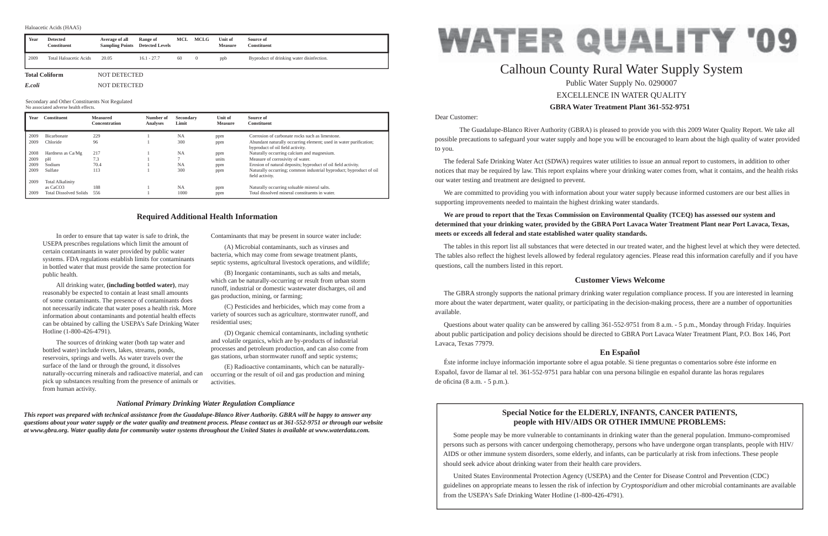Dear Customer:

 The Guadalupe-Blanco River Authority (GBRA) is pleased to provide you with this 2009 Water Quality Report. We take all possible precautions to safeguard your water supply and hope you will be encouraged to learn about the high quality of water provided to you.

 The federal Safe Drinking Water Act (SDWA) requires water utilities to issue an annual report to customers, in addition to other notices that may be required by law. This report explains where your drinking water comes from, what it contains, and the health risks our water testing and treatment are designed to prevent.

 We are committed to providing you with information about your water supply because informed customers are our best allies in supporting improvements needed to maintain the highest drinking water standards.

The GBRA strongly supports the national primary drinking water regulation compliance process. If you are interested in learning more about the water department, water quality, or participating in the decision-making process, there are a number of opportunities available.

## **We are proud to report that the Texas Commission on Environmental Quality (TCEQ) has assessed our system and determined that your drinking water, provided by the GBRA Port Lavaca Water Treatment Plant near Port Lavaca, Texas, meets or exceeds all federal and state established water quality standards.**

 Éste informe incluye información importante sobre el agua potable. Si tiene preguntas o comentarios sobre éste informe en Español, favor de llamar al tel. 361-552-9751 para hablar con una persona bilingüe en español durante las horas regulares de oficina  $(8 a.m. - 5 p.m.).$ 

The tables in this report list all substances that were detected in our treated water, and the highest level at which they were detected. The tables also reflect the highest levels allowed by federal regulatory agencies. Please read this information carefully and if you have questions, call the numbers listed in this report.

## **Customer Views Welcome**

 Questions about water quality can be answered by calling 361-552-9751 from 8 a.m. - 5 p.m., Monday through Friday. Inquiries about public participation and policy decisions should be directed to GBRA Port Lavaca Water Treatment Plant, P.O. Box 146, Port Lavaca, Texas 77979.

## **En Español**

 In order to ensure that tap water is safe to drink, the USEPA prescribes regulations which limit the amount of certain contaminants in water provided by public water systems. FDA regulations establish limits for contaminants in bottled water that must provide the same protection for public health.

 All drinking water, **(including bottled water)**, may reasonably be expected to contain at least small amounts of some contaminants. The presence of contaminants does not necessarily indicate that water poses a health risk. More information about contaminants and potential health effects can be obtained by calling the USEPA's Safe Drinking Water Hotline (1-800-426-4791).

# **GBRA Water Treatment Plant 361-552-9751**Calhoun County Rural Water Supply System Public Water Supply No. 0290007 EXCELLENCE IN WATER QUALITY

 The sources of drinking water (both tap water and bottled water) include rivers, lakes, streams, ponds, reservoirs, springs and wells. As water travels over the surface of the land or through the ground, it dissolves naturally-occurring minerals and radioactive material, and can pick up substances resulting from the presence of animals or from human activity.

Contaminants that may be present in source water include:

 (A) Microbial contaminants, such as viruses and bacteria, which may come from sewage treatment plants, septic systems, agricultural livestock operations, and wildlife;

 (B) Inorganic contaminants, such as salts and metals, which can be naturally-occurring or result from urban storm runoff, industrial or domestic wastewater discharges, oil and gas production, mining, or farming;

 (C) Pesticides and herbicides, which may come from a variety of sources such as agriculture, stormwater runoff, and residential uses;

 (D) Organic chemical contaminants, including synthetic and volatile organics, which are by-products of industrial processes and petroleum production, and can also come from gas stations, urban stormwater runoff and septic systems;

 (E) Radioactive contaminants, which can be naturallyoccurring or the result of oil and gas production and mining activities.

## **Required Additional Health Information**

### *National Primary Drinking Water Regulation Compliance*

*This report was prepared with technical assistance from the Guadalupe-Blanco River Authority. GBRA will be happy to answer any questions about your water supply or the water quality and treatment process. Please contact us at 361-552-9751 or through our website at www.gbra.org. Water quality data for community water systems throughout the United States is available at www.waterdata.com.*

## **Special Notice for the ELDERLY, INFANTS, CANCER PATIENTS, people with HIV/AIDS OR OTHER IMMUNE PROBLEMS:**

Some people may be more vulnerable to contaminants in drinking water than the general population. Immuno-compromised persons such as persons with cancer undergoing chemotherapy, persons who have undergone organ transplants, people with HIV/ AIDS or other immune system disorders, some elderly, and infants, can be particularly at risk from infections. These people should seek advice about drinking water from their health care providers.

 United States Environmental Protection Agency (USEPA) and the Center for Disease Control and Prevention (CDC) guidelines on appropriate means to lessen the risk of infection by *Cryptosporidium* and other microbial contaminants are available from the USEPA's Safe Drinking Water Hotline (1-800-426-4791).



| Year | <b>Constituent</b>            | <b>Measured</b><br><b>Concentration</b> | Number of<br><b>Analyses</b> | <b>Secondary</b><br>Limit | Unit of<br><b>Measure</b> | Source of<br><b>Constituent</b>                                                                       |
|------|-------------------------------|-----------------------------------------|------------------------------|---------------------------|---------------------------|-------------------------------------------------------------------------------------------------------|
| 2009 | <b>Bicarbonate</b>            | 229                                     |                              | <b>NA</b>                 | ppm                       | Corrosion of carbonate rocks such as limestone.                                                       |
| 2009 | Chloride                      | 96                                      |                              | 300                       | ppm                       | Abundant naturally occurring element; used in water purification;<br>byproduct of oil field activity. |
| 2008 | Hardness as Ca/Mg             | 217                                     |                              | <b>NA</b>                 | ppm                       | Naturally occurring calcium and magnesium.                                                            |
| 2009 | pH                            | 7.3                                     |                              |                           | units                     | Measure of corrosivity of water.                                                                      |
| 2009 | Sodium                        | 70.4                                    |                              | <b>NA</b>                 | ppm                       | Erosion of natural deposits; byproduct of oil field activity.                                         |
| 2009 | Sulfate                       | 113                                     |                              | 300                       | ppm                       | Naturally occurring; common industrial byproduct; byproduct of oil<br>field activity.                 |
| 2009 | <b>Total Alkalinity</b>       |                                         |                              |                           |                           |                                                                                                       |
|      | as CaCO <sub>3</sub>          | 188                                     |                              | <b>NA</b>                 | ppm                       | Naturally occurring soluable mineral salts.                                                           |
| 2009 | <b>Total Dissolved Solids</b> | 556                                     |                              | 1000                      | ppm                       | Total dissolved mineral constituents in water.                                                        |

Secondary and Other Constituents Not Regulated

No associated adverse health effects.

| Year   | <b>Detected</b><br><b>Constituent</b> | Average of all<br><b>Sampling Points</b> | Range of<br><b>Detected Levels</b> | MCL | <b>MCLG</b> | Unit of<br><b>Measure</b> | Source of<br><b>Constituent</b>           |
|--------|---------------------------------------|------------------------------------------|------------------------------------|-----|-------------|---------------------------|-------------------------------------------|
| 2009   | <b>Total Haloacetic Acids</b>         | 20.05                                    | $16.1 - 27.7$                      | 60  | $\theta$    | ppb                       | Byproduct of drinking water disinfection. |
|        | <b>Total Coliform</b>                 | NOT DETECTED                             |                                    |     |             |                           |                                           |
| E.coli |                                       | NOT DETECTED                             |                                    |     |             |                           |                                           |

#### Haloacetic Acids (HAA5)